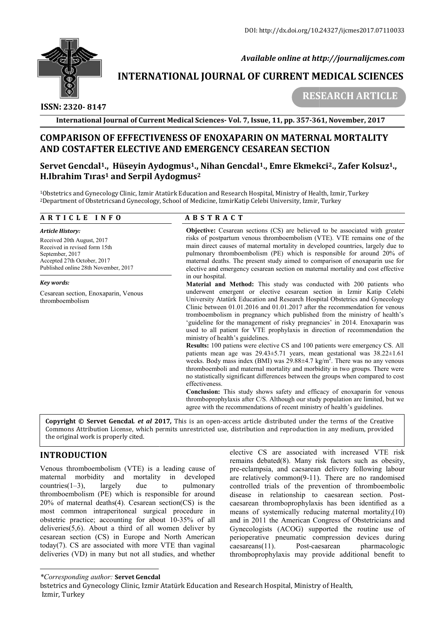

 *Available online at http://journalijcmes.com*

# **INTERNATIONAL JOURNAL OF CURRENT MEDICAL SCIENCES**<br>RESEARCH ARTICLE

# **ISSN: 2320- 8147**

 **RESEARCH ARTI**

**International Journal of Current Medical Sciences Sciences- Vol. 7, Issue, 11, pp. 357-361 361, November, 2017**

# **COMPARISON OF EFFECTIVENESS OF ENOXAPARIN ON MATERNAL MORTALITY AND COSTAFTER ELECTIVE AND EMERGENCY CESAREAN SECTION**

# **Servet Gencdal1., Hüseyin Aydogmus Aydogmus1., Nihan Gencdal1., Emre Ekmekci H.Ibrahim Tıras1 and Serpil Aydogmus Aydogmus2**

1Obstetrics and Gynecology Clinic, Izmir Atatürk Education and Research Hospital, Ministry of Health, Izmir, Turkey 2Department of Obstetricsand Gynecology, School of Medicine, IzmirKatip Celebi University, Izmir, Turkey

### **A R T I C L E I N F O**

#### *Article History:*

Received 20th August, 2017 Received in revised form 15th September, 2017 Accepted 27th October, 2017 Published online 28th November, 2017

#### *Key words:*

Cesarean section, Enoxaparin, Venous thromboembolism

## **A B S T R A C T**

**Objective:** Cesarean sections (CS) are believed to be associated with greater risks of postpartum venous thromboembolism (VTE). VTE remains one of the main direct causes of maternal mortality in developed countries, largely due to pulmonary thromboembolism (PE) which is responsible for around 20% of maternal deaths. The present study aimed to comparison of enoxaparin use for elective and emergency cesarean section on maternal mortality and cost effective in our hospital. pulmonary thromboembolism (PE) which is responsible for around 20% of maternal deaths. The present study aimed to comparison of enoxaparin use for elective and emergency cesarean section on maternal mortality and cost effe believed to be associated with greater<br>olism (VTE). VTE remains one of the<br>in developed countries, largely due to

underwent emergent or elective cesarean section in Izmir Katip Celebi underwent emergent or elective cesarean section in Izmir Katip Celebi<br>University Atatürk Education and Research Hospital Obstetrics and Gynecology Clinic between 01.01.2016 and 01.01.2017 after the recommendation for venous tromboembolism in pregnancy which published from the ministry of health's 'guideline for the management of risky pregnancies' in 2014. Enoxaparin was used to all patient for VTE prophylaxis in direction of recommendation the ministry of health's guidelines. used to all patient for VTE prophylaxis in direction of recommendation the ministry of health's guidelines.<br>**Results:** 100 patiens were elective CS and 100 patients were emergency CS. All between 01.01.2016 and 01.01.2017 after the recommendation for venous bembolism in pregnancy which published from the ministry of health's line for the management of risky pregnancies' in 2014. Enoxaparin was

patients mean age was 29.43±5.71 years, mean gestational was 38.22±1.61 patients mean age was  $29.43\pm5.71$  years, mean gestational was  $38.22\pm1.61$  weeks. Body mass index (BMI) was  $29.88\pm4.7$  kg/m<sup>2</sup>. There was no any venous thromboemboli and maternal mortality and morbidity in two groups. There were no statistically significant differences between the groups when compared to cost effectiveness.

**Conclusion:** This study shows safety and efficacy of enoxaparin for venous thromboprophylaxis after C/S. Although our study population are limited, but we agree with the recommendations of recent ministry of health's guidelines.

**Copyright © Servet Gencdal***. et al* **201 2017***,* This is an open-access article distributed under the terms of the Creative **Copyright © Servet Gencdal.** *et al* **2017,** This is an open-access article distributed under the terms of the Creative<br>Commons Attribution License, which permits unrestricted use, distribution and reproduction in any mediu the original work is properly cited.

# **INTRODUCTION**

Venous thromboembolism (VTE) is a leading cause of maternal morbidity and mortality in developed countries $(1-3)$ , largely due to pulmonary thromboembolism (PE) which is responsible for around  $20\%$  of maternal deaths(4). Cesarean section(CS) is the most common intraperitoneal surgical procedure in obstetric practice; accounting for about 10-35% of all deliveries(5,6). About a third of all women deliver by cesarean section (CS) in Europe and North American today(7). CS are associated with more VTE than vaginal deliveries (VD) in many but not all studies, and whether 3), largely due to pulmonary<br>polism (PE) which is responsible for around<br>rernal deaths(4). Cesarean section(CS) is the<br>non intraperitoneal surgical procedure in<br>actice; accounting for about  $10-35\%$  of all

elective CS are associated with increased VTE risk remains debated(8). Many risk factors such as obesity, pre-eclampsia, and caesarean delivery following labour are relatively common(9-11). There are no randomised controlled trials of the prevention of thromboembolic disease in relationship to caesarean section. Post caesarean thromboprophylaxis has been identified as a means of systemically reducing maternal mortality, $(10)$ and in 2011 the American Congress of Obstetricians and Gynecologists (ACOG) supported the routine use of perioperative pneumatic compression devices during caesareans(11). Post-caesarean pharmacologic thromboprophylaxis may provide additional be **ARENOON DEFECTIVENESS OF ENOXMANTISTATION MATERIAL MORTALITY<br>
Cencelal!, Hüseyin Aydogmus!, Nihan Genedal!, Fame Ekmekci<sup>22</sup>, Zafer Kolsuz!,<br>
imm Tras <sup>2</sup> and Septih Aydogmus!, Nihan Genedal!, Fame Ekmekci<sup>22</sup>, Zafer Kols** with the recommendations of recent ministry of health's guidelines.<br>
1 open-access article distributed under the terms of the Creative<br>
icted use, distribution and reproduction in any medium, provided<br>
elective CS are asso and in 2011 the American Congress of Obstetricians and Gynecologists (ACOG) supported the routine use of perioperative pneumatic compression devices during caesareans(11). Post-caesarean pharmacologic thromboprophylaxis ma

#### *\*Corresponding author:* **Servet Gencdal**

bstetrics and Gynecology Clinic, Izmir Atatürk Education and Research Hospital, Ministry of Health, Izmir, Turkey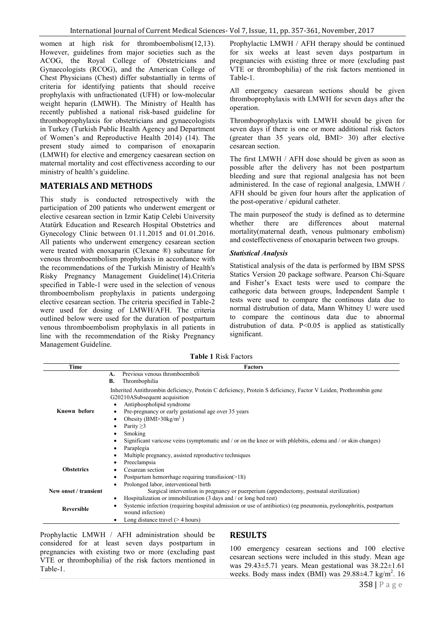women at high risk for thromboembolism(12,13). However, guidelines from major societies such as the ACOG, the Royal College of Obstetricians and Gynaecologists (RCOG), and the American College of Chest Physicians (Chest) differ substantially in terms of criteria for identifying patients that should receive prophylaxis with unfractionated (UFH) or low-molecular weight heparin (LMWH). The Ministry of Health has recently published a national risk-based guideline for thromboprophylaxis for obstetricians and gynaecologists in Turkey (Turkish Public Health Agency and Department of Women's and Reproductive Health 2014) (14). The present study aimed to comparison of enoxaparin (LMWH) for elective and emergency caesarean section on maternal mortality and cost effectiveness according to our ministry of health's guideline.

## **MATERIALS AND METHODS**

This study is conducted retrospectively with the participation of 200 patients who underwent emergent or elective cesarean section in Izmir Katip Celebi University Atatürk Education and Research Hospital Obstetrics and Gynecology Clinic between 01.11.2015 and 01.01.2016. All patients who underwent emergency cesarean section were treated with enoxaparin (Clexane ®) subcutane for venous thromboembolism prophylaxis in accordance with the recommendations of the Turkish Ministry of Health's Risky Pregnancy Management Guideline(14).Criteria specified in Table-1 were used in the selection of venous thromboembolism prophylaxis in patients undergoing elective cesarean section. The criteria specified in Table-2 were used for dosing of LMWH/AFH. The criteria outlined below were used for the duration of postpartum venous thromboembolism prophylaxis in all patients in line with the recommendation of the Risky Pregnancy Management Guideline.

Prophylactic LMWH / AFH therapy should be continued for six weeks at least seven days postpartum in pregnancies with existing three or more (excluding past VTE or thrombophilia) of the risk factors mentioned in Table-1.

All emergency caesarean sections should be given thromboprophylaxis with LMWH for seven days after the operation.

Thromboprophylaxis with LMWH should be given for seven days if there is one or more additional risk factors (greater than 35 years old, BMI> 30) after elective cesarean section.

The first LMWH / AFH dose should be given as soon as possible after the delivery has not been postpartum bleeding and sure that regional analgesia has not been administered. In the case of regional analgesia, LMWH / AFH should be given four hours after the application of the post-operative / epidural catheter.

The main purposeof the study is defined as to determine whether there are differences about maternal mortality(maternal death, venous pulmonary embolism) and costeffectiveness of enoxaparin between two groups.

### *Statistical Analysis*

Statistical analysis of the data is performed by IBM SPSS Statics Version 20 package software. Pearson Chi-Square and Fisher's Exact tests were used to compare the cathegoric data between groups, İndependent Sample t tests were used to compare the continous data due to normal distrubution of data, Mann Whitney U were used to compare the continous data due to abnormal distrubution of data. P<0.05 is applied as statistically significant.

**Table 1** Risk Factors

| Time                  | <b>Factors</b>                                                                                                                                                                    |  |  |
|-----------------------|-----------------------------------------------------------------------------------------------------------------------------------------------------------------------------------|--|--|
| Known before          | Previous venous thromboemboli<br>А.<br><b>B.</b><br>Thrombophilia                                                                                                                 |  |  |
|                       | Inherited Antithrombin deficiency, Protein C deficiency, Protein S deficiency, Factor V Leiden, Prothrombin gene<br>G20210ASubsequent acquisition<br>Antiphospholipid syndrome    |  |  |
|                       | Pre-pregnancy or early gestational age over 35 years<br>Obesity (BMI $>$ 30kg/m <sup>2</sup> )<br>Parity $\geq$ 3                                                                 |  |  |
|                       | Smoking<br>Significant varicose veins (symptomatic and / or on the knee or with phlebitis, edema and / or skin changes)<br>Paraplegia<br>٠                                        |  |  |
| <b>Obstetrics</b>     | Multiple pregnancy, assisted reproductive techniques<br>Preeclampsia<br>Cesarean section<br>٠                                                                                     |  |  |
|                       | Postpartum hemorrhage requiring transfusion(>1lt)<br>Prolonged labor, interventional birth                                                                                        |  |  |
| New onset / transient | Surgical intervention in pregnancy or puerperium (appendectomy, postnatal sterilization)<br>Hospitalization or immobilization (3 days and / or long bed rest)<br>٠                |  |  |
| <b>Reversible</b>     | Systemic infection (requiring hospital admission or use of antibiotics) (eg pneumonia, pyelonephritis, postpartum<br>wound infection)<br>Long distance travel $($ > 4 hours)<br>٠ |  |  |

Prophylactic LMWH / AFH administration should be considered for at least seven days postpartum in pregnancies with existing two or more (excluding past VTE or thrombophilia) of the risk factors mentioned in Table-1.

## **RESULTS**

100 emergency cesarean sections and 100 elective cesarean sections were included in this study. Mean age was  $29.43\pm5.71$  years. Mean gestational was  $38.22\pm1.61$ weeks. Body mass index (BMI) was  $29.88\pm4.7$  kg/m<sup>2</sup>. 16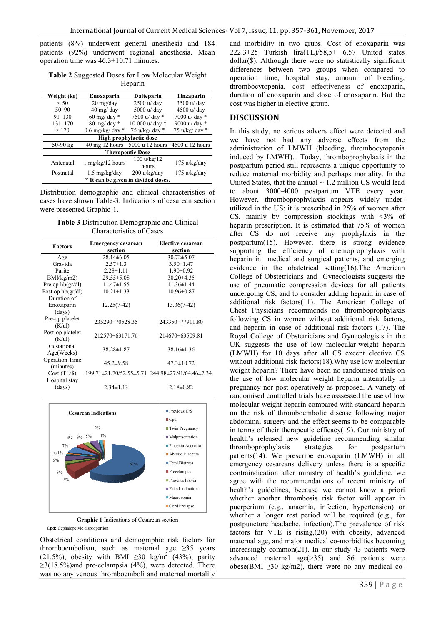patients (8%) underwent general anesthesia and 184 patients (92%) underwent regional anesthesia. Mean operation time was 46.3±10.71 minutes.

**Table 2** Suggested Doses for Low Molecular Weight Heparin

| Weight (kg)                         | Enoxaparin                         | <b>Dalteparin</b>    | Tinzaparin      |  |  |
|-------------------------------------|------------------------------------|----------------------|-----------------|--|--|
| < 50                                | $20 \frac{\text{mg}}{\text{day}}$  | 2500 u/ day          | $3500$ u/day    |  |  |
| $50 - 90$                           | $40 \text{ mg}/\text{day}$         | 5000 u/ day          | 4500 u/ day     |  |  |
| $91 - 130$                          | $60 \text{ mg}/ \text{day}$ *      | 7500 u/ day *        | 7000 u/ day *   |  |  |
| $131 - 170$                         | 80 mg/ day *                       | 10 000 u/ day *      | 9000 u/ day *   |  |  |
| >170                                | $0.6$ mg/kg/ day $*$               | 75 u/kg/ day *       | 75 u/kg/ day *  |  |  |
| High prophylactic dose              |                                    |                      |                 |  |  |
| $50-90$ kg                          | $40 \text{ mg}$ 12 hours           | 5000 u 12 hours      | 4500 u 12 hours |  |  |
| <b>Therapeutic Dose</b>             |                                    |                      |                 |  |  |
| Antenatal                           | $1 \text{ mg/kg}/12 \text{ hours}$ | 100 u/kg/12<br>hours | 175 u/kg/day    |  |  |
| Postnatal                           | $1.5 \text{ mg/kg/day}$            | 200 u/kg/day         | 175 u/kg/day    |  |  |
| * It can be given in divided doses. |                                    |                      |                 |  |  |

Distribution demographic and clinical characteristics of cases have shown Table-3. Indications of cesarean section were presented Graphic-1.

**Table 3** Distribution Demographic and Clinical Characteristics of Cases

| <b>Factors</b>        | <b>Emergency cesarean</b> | <b>Elective cesarean</b>                        |  |
|-----------------------|---------------------------|-------------------------------------------------|--|
|                       | section                   | section                                         |  |
| Age                   | $28.14\pm 6.05$           | $30.72 \pm 5.07$                                |  |
| Gravida               | $2.57 \pm 1.3$            | $3.50 \pm 1.47$                                 |  |
| Parite                | $2.28 \pm 1.11$           | $1.90 \pm 0.92$                                 |  |
| BMI(kg/m2)            | $29.55 \pm 5.08$          | $30.20 \pm 4.35$                                |  |
| Pre op $hb(qr/dl)$    | $11.47 \pm 1.55$          | $11.36 \pm 1.44$                                |  |
| Post op $hb(gr/dl)$   | $10.21 \pm 1.33$          | $10.96 \pm 0.87$                                |  |
| Duration of           |                           |                                                 |  |
| Enoxaparin            | $12.25(7-42)$             | 13.36(7-42)                                     |  |
| (days)                |                           |                                                 |  |
| Pre-op platelet       | 235290±70528.35           | 243350±77911.80                                 |  |
| (K/u)                 |                           |                                                 |  |
| Post-op platelet      | 212570 $\pm$ 63171.76     | 214670±63509.81                                 |  |
| (K/u)                 |                           |                                                 |  |
| Gestational           | 38.28±1.87                | 38.16±1.36                                      |  |
| Age(Weeks)            |                           |                                                 |  |
| <b>Operation Time</b> | $45.2 \pm 9.58$           | $47.3 \pm 10.72$                                |  |
| (minutes)             |                           |                                                 |  |
| Cost (TL/S)           |                           | 199.71±21.70/52.55±5.71 244.98±27.91/64.46±7.34 |  |
| Hospital stay         |                           |                                                 |  |
| (days)                | $2.34 \pm 1.13$           | $2.18 \pm 0.82$                                 |  |





**Cpd:** Cephalopelvic disproportion

Obstetrical conditions and demographic risk factors for thromboembolism, such as maternal age ≥35 years (21.5%), obesity with BMI  $\geq$ 30 kg/m<sup>2</sup> (43%), parity  $\geq$ 3(18.5%)and pre-eclampsia (4%), were detected. There  $\geq$ 3(18.5%) and pre-eclampsia (4%), were detected. There was no any venous thromboemboli and maternal mortality

and morbidity in two grups. Cost of enoxaparin was and morbidity in two grups. Cost of enoxaparin was<br>222.3±25 Turkish  $\text{lira(TL)/58,5±}$  6,57 United states dollar(\$). Although there were no statistically significant differences between two groups when compared to operation time, hospital stay, amount of bleeding, thrombocytopenia, cost effectiveness of enoxaparin, duration of enoxaparin and dose of enoxaparin. But the cost was higher in elective group.

## **DISCUSSION**

In this study, no serious advers effect were detected and we have not had any adverse effects from the administration of LMWH (bleeding, thrombocytopenia induced by LMWH). Today, thromboprophylaxis in the postpartum period still represents a unique opportunity to reduce maternal morbidity and perhaps mortality. United States, that the annual  $\sim$  1.2 million CS would lead to about 3000-4000 postpartum VTE every year. to about 3000-4000 postpartum VTE every year.<br>However, thromboprophylaxis appears widely underutilized in the US: it is prescribed in  $25%$  of women after CS, mainly by compression stockings with  $\leq 3\%$  of heparin prescription. It is estimated that 75% of women after CS do not receive any prophylaxis in the heparin prescription. It is estimated that 75% of women<br>after CS do not receive any prophylaxis in the<br>postpartum(15). However, there is strong evidence supporting the efficiency of chemoprophylaxis with heparin in medical and surgical patients, and emerging evidence in the obstetrical setting(16).The American College of Obstetricians and Gynecologists suggests suggests the use of pneumatic compression devices for all patients undergoing CS, and to consider adding heparin in case of additional risk factors(11). The American College of Chest Physicians recommends no thromboprophylaxis use of pneumatic compression devices for all patients<br>undergoing CS, and to consider adding heparin in case of<br>additional risk factors(11). The American College of<br>Chest Physicians recommends no thromboprophylaxis<br>followin and heparin in case of additional risk factors  $(17)$ . The Royal College of Obstetricians and Gynecologists in the UK suggests the use of low molecular-weight heparin (LMWH) for 10 days after all CS except elective CS without additional risk factors(18).Why use low molecular weight heparin? There have been no randomised trials on the use of low molecular weight heparin antenatally in pregnancy nor post-operatively as proposed. A variety of randomised controlled trials have asssessed the use molecular weight heparin compared with standard heparin on the risk of thromboembolic disease following major abdominal surgery and the effect seems to be comparable in terms of their therapeutic efficacy $(19)$ . Our ministry of health's released new guideline recommending similar<br>thromboprophylaxis strategies for postpartum thromboprophylaxis strategies for postpartum patients(14). We prescribe enoxaparin (LMWH) in all patients(14). We prescribe enoxaparin (LMWH) in all emergency cesareans delivery unless there is a specific contraindication after ministry of health's guideline, we agree with the recommendations of recent ministry of health's guidelines, because we cannot know a priori whether another thrombosis risk factor will appear in health's guidelines, because we cannot know a priori whether another thrombosis risk factor will appear in puerperium (e.g., anaemia, infection, hypertension) or whether a longer rest period will be required (e.g., for whether a longer rest period will be required (e.g., for postpuncture headache, infection).The prevalence of risk factors for VTE is rising,(20) with obesity, advanced factors for VTE is rising,(20) with obesity, advanced maternal age, and major medical co-morbidities becoming increasingly common(21). In our study 43 patients were advanced maternal  $age(\geq 35)$  and 86 patients were obese(BMI  $\geq$ 30 kg/m2), there were no any medical co-It tration of LMWH (bleeding, thrombocytopenia<br>L by LMWH). Today, thromboprophylaxis in the<br>tum period still represents a unique opportunity to<br>maternal morbidity and perhaps mortality. In the supporting the efficiency of chemoprophylaxis<br>heparin in medical and surgical patients, and em<br>evidence in the obstetrical setting(16).The An H) for 10 days after all CS except elective CS additional risk factors(18). Why use low molecular heparin? There have been no randomised trials on of low molecular weight heparin antenatally incey nor post-operatively as p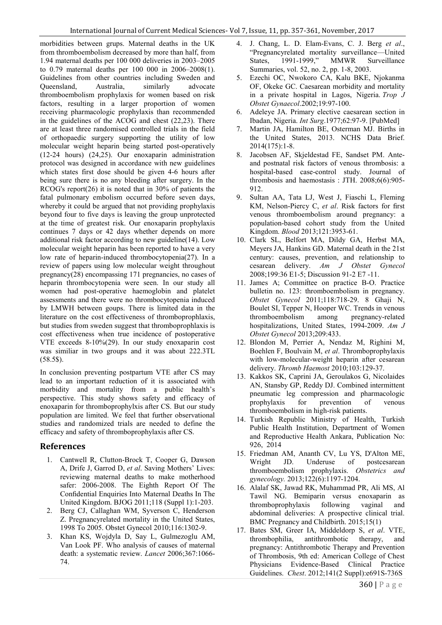morbidities between grups. Maternal deaths in the UK from thromboembolism decreased by more than half, from 1.94 maternal deaths per 100 000 deliveries in 2003–2005 to 0.79 maternal deaths per 100 000 in 2006–2008(1). Guidelines from other countries including Sweden and Queensland, Australia, similarly advocate thromboembolism prophylaxis for women based on risk factors, resulting in a larger proportion of women receiving pharmacologic prophylaxis than recommended in the guidelines of the ACOG and chest (22,23). There are at least three randomised controlled trials in the field of orthopaedic surgery supporting the utility of low molecular weight heparin being started post-operatively (12-24 hours) (24,25). Our enoxaparin administration protocol was designed in accordance with new guidelines which states first dose should be given 4-6 hours after being sure there is no any bleeding after surgery. In the RCOG's report(26) it is noted that in 30% of patients the fatal pulmonary embolism occurred before seven days, whereby it could be argued that not providing prophylaxis beyond four to five days is leaving the group unprotected at the time of greatest risk. Our enoxaparin prophylaxis continues 7 days or 42 days whether depends on more additional risk factor according to new guideline(14). Low molecular weight heparin has been reported to have a very low rate of heparin-induced thrombocytopenia(27). In a review of papers using low molecular weight throughout pregnancy(28) encompassing 171 pregnancies, no cases of heparin thrombocytopenia were seen. In our study all women had post-operative haemoglobin and platelet assessments and there were no thrombocytopenia induced by LMWH between goups. There is limited data in the literature on the cost effectiveness of thromboprophlaxis, but studies from sweden suggest that thromboprophlaxis is cost effectiveness when true incidence of postoperative VTE exceeds 8-10%(29). In our study enoxaparin cost was similiar in two groups and it was about 222.3TL (58.5\$).

In conclusion preventing postpartum VTE after CS may lead to an important reduction of it is associated with morbidity and mortality from a public health's perspective. This study shows safety and efficacy of enoxaparin for thromboprophylxis after CS. But our study population are limited. We feel that further observational studies and randomized trials are needed to define the efficacy and safety of thromboprophylaxis after CS.

## **References**

- 1. Cantwell R, Clutton-Brock T, Cooper G, Dawson A, Drife J, Garrod D, *et al*. Saving Mothers' Lives: reviewing maternal deaths to make motherhood safer: 2006-2008. The Eighth Report Of The Confidential Enquiries Into Maternal Deaths In The United Kingdom. BJOG 2011;118 (Suppl 1):1-203.
- 2. Berg CJ, Callaghan WM, Syverson C, Henderson Z. Pregnancyrelated mortality in the United States, 1998 To 2005. Obstet Gynecol 2010;116:1302-9.
- 3. Khan KS, Wojdyla D, Say L, Gulmezoglu AM, Van Look PF. Who analysis of causes of maternal death: a systematic review. *Lancet* 2006;367:1066- 74.
- 4. J. Chang, L. D. Elam-Evans, C. J. Berg *et al*., "Pregnancyrelated mortality surveillance—United States, 1991-1999," MMWR Surveillance Summaries, vol. 52, no. 2, pp. 1-8, 2003.
- 5. Ezechi OC, Nwokoro CA, Kalu BKE, Njokanma OF, Okeke GC. Caesarean morbidity and mortality in a private hospital in Lagos, Nigeria. *Trop J Obstet Gynaecol*.2002;19:97-100.
- 6. Adeleye JA. Primary elective caesarean section in Ibadan, Nigeria. *Int Surg*.1977;62:97-9. [PubMed]
- 7. Martin JA, Hamilton BE, Osterman MJ. Births in the United States, 2013. NCHS Data Brief. 2014(175):1-8.
- 8. Jacobsen AF, Skjeldestad FE, Sandset PM. Anteand postnatal risk factors of venous thrombosis: a hospital-based case-control study. Journal of thrombosis and haemostasis : JTH. 2008;6(6):905- 912.
- 9. Sultan AA, Tata LJ, West J, Fiaschi L, Fleming KM, Nelson-Piercy C, *et al*. Risk factors for first venous thromboembolism around pregnancy: a population-based cohort study from the United Kingdom. *Blood* 2013;121:3953-61.
- 10. Clark SL, Belfort MA, Dildy GA, Herbst MA, Meyers JA, Hankins GD. Maternal death in the 21st century: causes, prevention, and relationship to cesarean delivery. *Am J Obstet Gynecol* 2008;199:36 E1-5; Discussion 91-2 E7 -11.
- 11. James A; Committee on practice B-O. Practice bulletin no. 123: thromboembolism in pregnancy. *Obstet Gynecol* 2011;118:718-29. 8 Ghaji N, Boulet SI, Tepper N, Hooper WC. Trends in venous thromboembolism among pregnancy-related hospitalizations, United States, 1994-2009. *Am J Obstet Gynecol* 2013;209:433.
- 12. Blondon M, Perrier A, Nendaz M, Righini M, Boehlen F, Boulvain M, *et al*. Thromboprophylaxis with low-molecular-weight heparin after cesarean delivery. *Thromb Haemost* 2010;103:129-37.
- 13. Kakkos SK, Caprini JA, Geroulakos G, Nicolaides AN, Stansby GP, Reddy DJ. Combined intermittent pneumatic leg compression and pharmacologic<br>prophylaxis for prevention of venous prophylaxis for prevention of thromboembolism in high-risk patients.
- 14. Turkish Republic Ministry of Health, Turkish Public Health Institution, Department of Women and Reproductive Health Ankara, Publication No: 926, 2014
- 15. Friedman AM, Ananth CV, Lu YS, D'Alton ME, Wright JD. Underuse of postcesarean thromboembolism prophylaxis. *Obstetrics and gynecology.* 2013;122(6):1197-1204.
- 16. Alalaf SK, Jawad RK, Muhammad PR, Ali MS, Al Tawil NG. Bemiparin versus enoxaparin as thromboprophylaxis following vaginal and abdominal deliveries: A prospective clinical trial. BMC Pregnancy and Childbirth. 2015;15(1)
- 17. Bates SM, Greer IA, Middeldorp S, *et al*. VTE, thrombophilia, antithrombotic therapy, and pregnancy: Antithrombotic Therapy and Prevention of Thrombosis, 9th ed: American College of Chest Physicians Evidence-Based Clinical Practice Guidelines. *Chest*. 2012;141(2 Suppl):e691S-736S